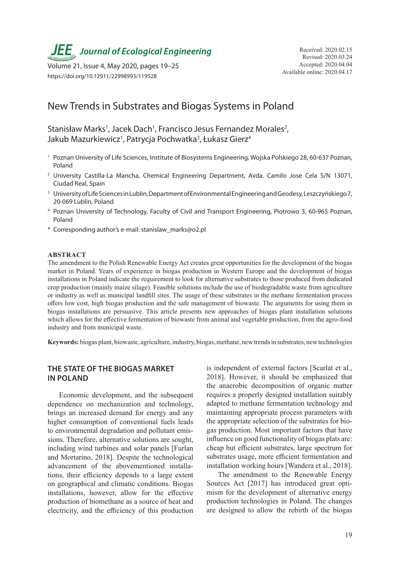**JEE** Journal of Ecological Engineering Received: 2020.02.15

Available online: 2020.04.17 Volume 21, Issue 4, May 2020, pages 19–25 https://doi.org/10.12911/22998993/119528

# New Trends in Substrates and Biogas Systems in Poland

Stanisław Marks<sup>1</sup>, Jacek Dach<sup>1</sup>, Francisco Jesus Fernandez Morales<sup>2</sup>, Jakub Mazurkiewicz<sup>1</sup>, Patrycja Pochwatka<sup>3</sup>, Łukasz Gierz<sup>4</sup>

- <sup>1</sup> Poznan University of Life Sciences, Institute of Biosystems Engineering, Wojska Polskiego 28, 60-637 Poznan, Poland
- <sup>2</sup> University Castilla-La Mancha, Chemical Engineering Department, Avda. Camilo Jose Cela S/N 13071, Ciudad Real, Spain
- <sup>3</sup> University of Life Sciences in Lublin, Department of Environmental Engineering and Geodesy, Leszczyńskiego 7, 20-069 Lublin, Poland
- <sup>4</sup> Poznan University of Technology, Faculty of Civil and Transport Engineering, Piotrowo 3, 60-965 Poznan, Poland
- \* Corresponding author's e-mail: stanislaw\_marks@o2.pl

### **ABSTRACT**

The amendment to the Polish Renewable Energy Act creates great opportunities for the development of the biogas market in Poland. Years of experience in biogas production in Western Europe and the development of biogas installations in Poland indicate the requirement to look for alternative substrates to those produced from dedicated crop production (mainly maize silage). Feasible solutions include the use of biodegradable waste from agriculture or industry as well as municipal landfill sites. The usage of these substrates in the methane fermentation process offers low cost, high biogas production and the safe management of biowaste. The arguments for using them in biogas installations are persuasive. This article presents new approaches of biogas plant installation solutions which allows for the effective fermentation of biowaste from animal and vegetable production, from the agro-food industry and from municipal waste.

**Keywords:** biogas plant, biowaste, agriculture, industry, biogas, methane, new trends in substrates, new technologies

# **THE STATE OF THE BIOGAS MARKET IN POLAND**

Economic development, and the subsequent dependence on mechanization and technology, brings an increased demand for energy and any higher consumption of conventional fuels leads to environmental degradation and pollutant emissions. Therefore, alternative solutions are sought, including wind turbines and solar panels [Furlan and Mortarino, 2018]. Despite the technological advancement of the abovementioned installations, their efficiency depends to a large extent on geographical and climatic conditions. Biogas installations, however, allow for the effective production of biomethane as a source of heat and electricity, and the efficiency of this production

is independent of external factors [Scarlat et al., 2018]. However, it should be emphasized that the anaerobic decomposition of organic matter requires a properly designed installation suitably adapted to methane fermentation technology and maintaining appropriate process parameters with the appropriate selection of the substrates for biogas production. Most important factors that have influence on good functionality of biogas plats are: cheap but efficient substrates, large spectrum for substrates usage, more efficient fermentation and installation working hours [Wandera et al., 2018].

The amendment to the Renewable Energy Sources Act [2017] has introduced great optimism for the development of alternative energy production technologies in Poland. The changes are designed to allow the rebirth of the biogas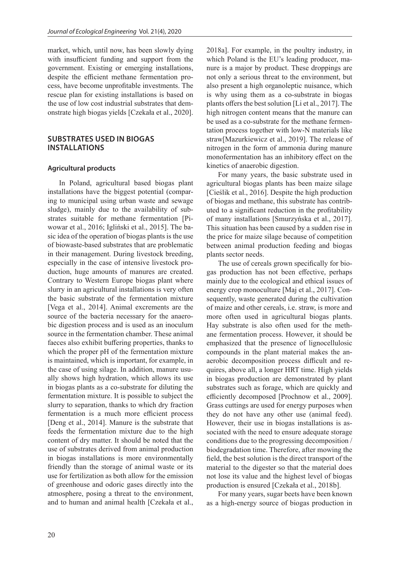market, which, until now, has been slowly dying with insufficient funding and support from the government. Existing or emerging installations, despite the efficient methane fermentation process, have become unprofitable investments. The rescue plan for existing installations is based on the use of low cost industrial substrates that demonstrate high biogas yields [Czekała et al., 2020].

## **SUBSTRATES USED IN BIOGAS INSTALLATIONS**

### **Agricultural products**

In Poland, agricultural based biogas plant installations have the biggest potential (comparing to municipal using urban waste and sewage sludge), mainly due to the availability of substrates suitable for methane fermentation [Piwowar et al., 2016; Igliński et al., 2015]. The basic idea of the operation of biogas plants is the use of biowaste-based substrates that are problematic in their management. During livestock breeding, especially in the case of intensive livestock production, huge amounts of manures are created. Contrary to Western Europe biogas plant where slurry in an agricultural installations is very often the basic substrate of the fermentation mixture [Vega et al., 2014]. Animal excrements are the source of the bacteria necessary for the anaerobic digestion process and is used as an inoculum source in the fermentation chamber. These animal faeces also exhibit buffering properties, thanks to which the proper pH of the fermentation mixture is maintained, which is important, for example, in the case of using silage. In addition, manure usually shows high hydration, which allows its use in biogas plants as a co-substrate for diluting the fermentation mixture. It is possible to subject the slurry to separation, thanks to which dry fraction fermentation is a much more efficient process [Deng et al., 2014]. Manure is the substrate that feeds the fermentation mixture due to the high content of dry matter. It should be noted that the use of substrates derived from animal production in biogas installations is more environmentally friendly than the storage of animal waste or its use for fertilization as both allow for the emission of greenhouse and odoric gases directly into the atmosphere, posing a threat to the environment, and to human and animal health [Czekała et al., 2018a]. For example, in the poultry industry, in which Poland is the EU's leading producer, manure is a major by product. These droppings are not only a serious threat to the environment, but also present a high organoleptic nuisance, which is why using them as a co-substrate in biogas plants offers the best solution [Li et al., 2017]. The high nitrogen content means that the manure can be used as a co-substrate for the methane fermentation process together with low-N materials like straw[Mazurkiewicz et al., 2019]. The release of nitrogen in the form of ammonia during manure monofermentation has an inhibitory effect on the kinetics of anaerobic digestion.

For many years, the basic substrate used in agricultural biogas plants has been maize silage [Cieślik et al., 2016]. Despite the high production of biogas and methane, this substrate has contributed to a significant reduction in the profitability of many installations [Smurzyńska et al., 2017]. This situation has been caused by a sudden rise in the price for maize silage because of competition between animal production feeding and biogas plants sector needs.

The use of cereals grown specifically for biogas production has not been effective, perhaps mainly due to the ecological and ethical issues of energy crop monoculture [Maj et al., 2017]. Consequently, waste generated during the cultivation of maize and other cereals, i.e. straw, is more and more often used in agricultural biogas plants. Hay substrate is also often used for the methane fermentation process. However, it should be emphasized that the presence of lignocellulosic compounds in the plant material makes the anaerobic decomposition process difficult and requires, above all, a longer HRT time. High yields in biogas production are demonstrated by plant substrates such as forage, which are quickly and efficiently decomposed [Prochnow et al., 2009]. Grass cuttings are used for energy purposes when they do not have any other use (animal feed). However, their use in biogas installations is associated with the need to ensure adequate storage conditions due to the progressing decomposition / biodegradation time. Therefore, after mowing the field, the best solution is the direct transport of the material to the digester so that the material does not lose its value and the highest level of biogas production is ensured [Czekała et al., 2018b].

For many years, sugar beets have been known as a high-energy source of biogas production in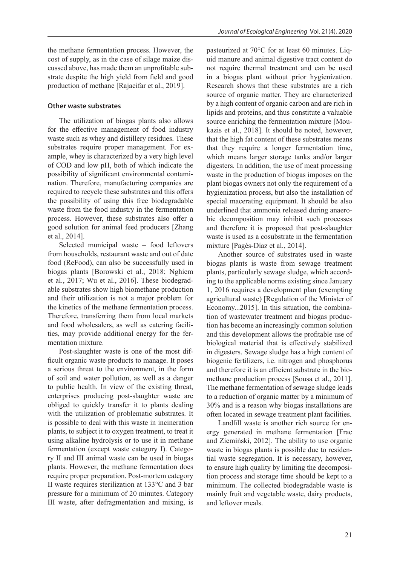the methane fermentation process. However, the cost of supply, as in the case of silage maize discussed above, has made them an unprofitable substrate despite the high yield from field and good production of methane [Rajaeifar et al., 2019].

### **Other waste substrates**

The utilization of biogas plants also allows for the effective management of food industry waste such as whey and distillery residues. These substrates require proper management. For example, whey is characterized by a very high level of COD and low pH, both of which indicate the possibility of significant environmental contamination. Therefore, manufacturing companies are required to recycle these substrates and this offers the possibility of using this free biodegradable waste from the food industry in the fermentation process. However, these substrates also offer a good solution for animal feed producers [Zhang et al., 2014].

Selected municipal waste – food leftovers from households, restaurant waste and out of date food (ReFood), can also be successfully used in biogas plants [Borowski et al., 2018; Nghiem et al., 2017; Wu et al., 2016]. These biodegradable substrates show high biomethane production and their utilization is not a major problem for the kinetics of the methane fermentation process. Therefore, transferring them from local markets and food wholesalers, as well as catering facilities, may provide additional energy for the fermentation mixture.

Post-slaughter waste is one of the most difficult organic waste products to manage. It poses a serious threat to the environment, in the form of soil and water pollution, as well as a danger to public health. In view of the existing threat, enterprises producing post-slaughter waste are obliged to quickly transfer it to plants dealing with the utilization of problematic substrates. It is possible to deal with this waste in incineration plants, to subject it to oxygen treatment, to treat it using alkaline hydrolysis or to use it in methane fermentation (except waste category I). Category II and III animal waste can be used in biogas plants. However, the methane fermentation does require proper preparation. Post-mortem category II waste requires sterilization at 133°C and 3 bar pressure for a minimum of 20 minutes. Category III waste, after defragmentation and mixing, is

pasteurized at 70°C for at least 60 minutes. Liquid manure and animal digestive tract content do not require thermal treatment and can be used in a biogas plant without prior hygienization. Research shows that these substrates are a rich source of organic matter. They are characterized by a high content of organic carbon and are rich in lipids and proteins, and thus constitute a valuable source enriching the fermentation mixture [Moukazis et al., 2018]. It should be noted, however, that the high fat content of these substrates means that they require a longer fermentation time, which means larger storage tanks and/or larger digesters. In addition, the use of meat processing waste in the production of biogas imposes on the plant biogas owners not only the requirement of a hygienization process, but also the installation of special macerating equipment. It should be also underlined that ammonia released during anaerobic decomposition may inhibit such processes and therefore it is proposed that post-slaughter waste is used as a cosubstrate in the fermentation mixture [Pagés-Díaz et al., 2014].

Another source of substrates used in waste biogas plants is waste from sewage treatment plants, particularly sewage sludge, which according to the applicable norms existing since January 1, 2016 requires a development plan (exempting agricultural waste) [Regulation of the Minister of Economy...2015]. In this situation, the combination of wastewater treatment and biogas production has become an increasingly common solution and this development allows the profitable use of biological material that is effectively stabilized in digesters. Sewage sludge has a high content of biogenic fertilizers, i.e. nitrogen and phosphorus and therefore it is an efficient substrate in the biomethane production process [Sousa et al., 2011]. The methane fermentation of sewage sludge leads to a reduction of organic matter by a minimum of 30% and is a reason why biogas installations are often located in sewage treatment plant facilities.

Landfill waste is another rich source for energy generated in methane fermentation [Frac and Ziemiński, 2012]. The ability to use organic waste in biogas plants is possible due to residential waste segregation. It is necessary, however, to ensure high quality by limiting the decomposition process and storage time should be kept to a minimum. The collected biodegradable waste is mainly fruit and vegetable waste, dairy products, and leftover meals.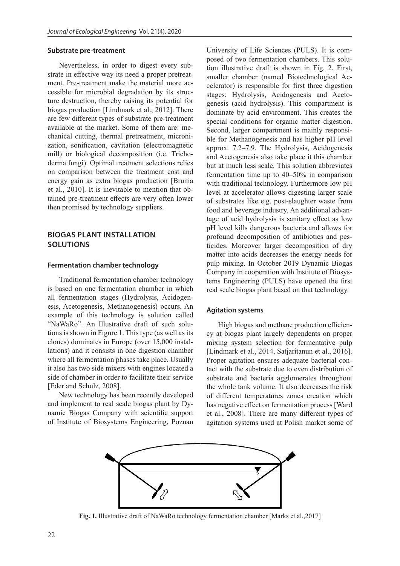### **Substrate pre-treatment**

Nevertheless, in order to digest every substrate in effective way its need a proper pretreatment. Pre-treatment make the material more accessible for microbial degradation by its structure destruction, thereby raising its potential for biogas production [Lindmark et al., 2012]. There are few different types of substrate pre-treatment available at the market. Some of them are: mechanical cutting, thermal pretreatment, micronization, sonification, cavitation (electromagnetic mill) or biological decomposition (i.e. Trichoderma fungi). Optimal treatment selections relies on comparison between the treatment cost and energy gain as extra biogas production [Brunia et al., 2010]. It is inevitable to mention that obtained pre-treatment effects are very often lower then promised by technology suppliers.

# **BIOGAS PLANT INSTALLATION SOLUTIONS**

### **Fermentation chamber technology**

Traditional fermentation chamber technology is based on one fermentation chamber in which all fermentation stages (Hydrolysis, Acidogenesis, Acetogenesis, Methanogenesis) occurs. An example of this technology is solution called "NaWaRo". An Illustrative draft of such solutions is shown in Figure 1. This type (as well as its clones) dominates in Europe (over 15,000 installations) and it consists in one digestion chamber where all fermentation phases take place. Usually it also has two side mixers with engines located a side of chamber in order to facilitate their service [Eder and Schulz, 2008].

New technology has been recently developed and implement to real scale biogas plant by Dynamic Biogas Company with scientific support of Institute of Biosystems Engineering, Poznan

University of Life Sciences (PULS). It is composed of two fermentation chambers. This solution illustrative draft is shown in Fig. 2. First, smaller chamber (named Biotechnological Accelerator) is responsible for first three digestion stages: Hydrolysis, Acidogenesis and Acetogenesis (acid hydrolysis). This compartment is dominate by acid environment. This creates the special conditions for organic matter digestion. Second, larger compartment is mainly responsible for Methanogenesis and has higher pH level approx. 7.2–7.9. The Hydrolysis, Acidogenesis and Acetogenesis also take place it this chamber but at much less scale. This solution abbreviates fermentation time up to 40–50% in comparison with traditional technology. Furthermore low pH level at accelerator allows digesting larger scale of substrates like e.g. post-slaughter waste from food and beverage industry. An additional advantage of acid hydrolysis is sanitary effect as low pH level kills dangerous bacteria and allows for profound decomposition of antibiotics and pesticides. Moreover larger decomposition of dry matter into acids decreases the energy needs for pulp mixing. In October 2019 Dynamic Biogas Company in cooperation with Institute of Biosystems Engineering (PULS) have opened the first real scale biogas plant based on that technology.

### **Agitation systems**

High biogas and methane production efficiency at biogas plant largely dependents on proper mixing system selection for fermentative pulp [Lindmark et al., 2014, Satjaritanun et al., 2016]. Proper agitation ensures adequate bacterial contact with the substrate due to even distribution of substrate and bacteria agglomerates throughout the whole tank volume. It also decreases the risk of different temperatures zones creation which has negative effect on fermentation process [Ward et al., 2008]. There are many different types of agitation systems used at Polish market some of



**Fig. 1.** Illustrative draft of NaWaRo technology fermentation chamber [Marks et al.,2017]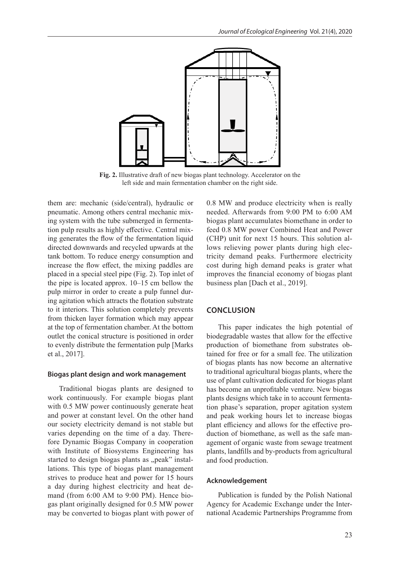

**Fig. 2.** Illustrative draft of new biogas plant technology. Accelerator on the left side and main fermentation chamber on the right side.

them are: mechanic (side/central), hydraulic or pneumatic. Among others central mechanic mixing system with the tube submerged in fermentation pulp results as highly effective. Central mixing generates the flow of the fermentation liquid directed downwards and recycled upwards at the tank bottom. To reduce energy consumption and increase the flow effect, the mixing paddles are placed in a special steel pipe (Fig. 2). Top inlet of the pipe is located approx. 10–15 cm bellow the pulp mirror in order to create a pulp funnel during agitation which attracts the flotation substrate to it interiors. This solution completely prevents from thicken layer formation which may appear at the top of fermentation chamber. At the bottom outlet the conical structure is positioned in order to evenly distribute the fermentation pulp [Marks et al., 2017].

#### **Biogas plant design and work management**

Traditional biogas plants are designed to work continuously. For example biogas plant with 0.5 MW power continuously generate heat and power at constant level. On the other hand our society electricity demand is not stable but varies depending on the time of a day. Therefore Dynamic Biogas Company in cooperation with Institute of Biosystems Engineering has started to design biogas plants as "peak" installations. This type of biogas plant management strives to produce heat and power for 15 hours a day during highest electricity and heat demand (from 6:00 AM to 9:00 PM). Hence biogas plant originally designed for 0.5 MW power may be converted to biogas plant with power of 0.8 MW and produce electricity when is really needed. Afterwards from 9:00 PM to 6:00 AM biogas plant accumulates biomethane in order to feed 0.8 MW power Combined Heat and Power (CHP) unit for next 15 hours. This solution allows relieving power plants during high electricity demand peaks. Furthermore electricity cost during high demand peaks is grater what improves the financial economy of biogas plant business plan [Dach et al., 2019].

### **CONCLUSION**

This paper indicates the high potential of biodegradable wastes that allow for the effective production of biomethane from substrates obtained for free or for a small fee. The utilization of biogas plants has now become an alternative to traditional agricultural biogas plants, where the use of plant cultivation dedicated for biogas plant has become an unprofitable venture. New biogas plants designs which take in to account fermentation phase's separation, proper agitation system and peak working hours let to increase biogas plant efficiency and allows for the effective production of biomethane, as well as the safe management of organic waste from sewage treatment plants, landfills and by-products from agricultural and food production.

### **Acknowledgement**

Publication is funded by the Polish National Agency for Academic Exchange under the International Academic Partnerships Programme from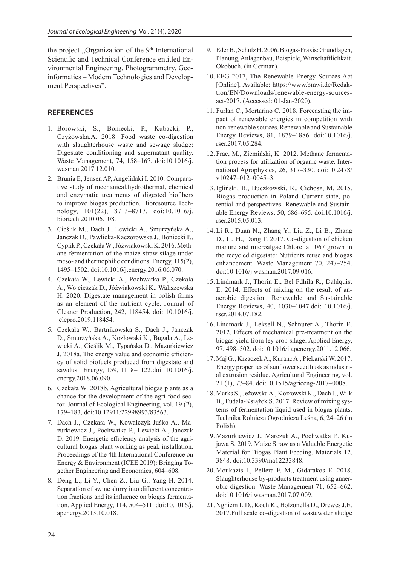the project "Organization of the  $9<sup>th</sup>$  International Scientific and Technical Conference entitled Environmental Engineering, Photogrammetry, Geoinformatics – Modern Technologies and Development Perspectives".

## **REFERENCES**

- 1. Borowski, S., Boniecki, P., Kubacki, P., Czyżowska,A. 2018. Food waste co-digestion with slaughterhouse waste and sewage sludge: Digestate conditioning and supernatant quality. Waste Management, 74, 158–167. doi:10.1016/j. wasman.2017.12.010.
- 2. Brunia E, Jensen AP, Angelidaki I. 2010. Comparative study of mechanical,hydrothermal, chemical and enzymatic treatments of digested biofibers to improve biogas production. Bioresource Technology, 101(22), 8713–8717. doi:10.1016/j. biortech.2010.06.108.
- 3. Cieślik M., Dach J., Lewicki A., Smurzyńska A., Janczak D., Pawlicka-Kaczorowska J., Boniecki P., Cyplik P., Czekała W., Jóźwiakowski K. 2016. Methane fermentation of the maize straw silage under meso- and thermophilic conditions. Energy, 115(2), 1495–1502. doi:10.1016/j.energy.2016.06.070.
- 4. Czekała W., Lewicki A., Pochwatka P., Czekała A., Wojcieszak D., Jóźwiakowski K., Waliszewska H. 2020. Digestate management in polish farms as an element of the nutrient cycle. Journal of Cleaner Production, 242, 118454. doi: 10.1016/j. jclepro.2019.118454.
- 5. Czekała W., Bartnikowska S., Dach J., Janczak D., Smurzyńska A., Kozłowski K., Bugała A., Lewicki A., Cieślik M., Typańska D., Mazurkiewicz J. 2018a. The energy value and economic efficiency of solid biofuels produced from digestate and sawdust. Energy, 159, 1118–1122.doi: 10.1016/j. energy.2018.06.090.
- 6. Czekała W. 2018b. Agricultural biogas plants as a chance for the development of the agri-food sector. Journal of Ecological Engineering, vol. 19 (2), 179–183, doi:10.12911/22998993/83563.
- 7. Dach J., Czekała W., Kowalczyk-Juśko A., Mazurkiewicz J., Pochwatka P., Lewicki A., Janczak D. 2019. Energetic efficiency analysis of the agricultural biogas plant working as peak installation. Proceedings of the 4th International Conference on Energy & Environment (ICEE 2019): Bringing Together Engineering and Economics, 604–608.
- 8. Deng L., Li Y., Chen Z., Liu G., Yang H. 2014. Separation of swine slurry into different concentration fractions and its influence on biogas fermentation. Applied Energy, 114, 504–511. doi:10.1016/j. apenergy.2013.10.018.
- 9. Eder B., Schulz H. 2006. Biogas-Praxis: Grundlagen, Planung, Anlagenbau, Beispiele, Wirtschaftlichkait. Ökobuch, (in German).
- 10. EEG 2017, The Renewable Energy Sources Act [Online]. Available: https://www.bmwi.de/Redaktion/EN/Downloads/renewable-energy-sourcesact-2017. (Accessed: 01-Jan-2020).
- 11. Furlan C., Mortarino C. 2018. Forecasting the impact of renewable energies in competition with non-renewable sources. Renewable and Sustainable Energy Reviews, 81, 1879–1886. doi:10.1016/j. rser.2017.05.284.
- 12. Frac, M., Ziemiński, K. 2012. Methane fermentation process for utilization of organic waste. International Agrophysics, 26, 317–330. doi:10.2478/ v10247–012–0045–3.
- 13.Igliński, B., Buczkowski, R., Cichosz, M. 2015. Biogas production in Poland–Current state, potential and perspectives. Renewable and Sustainable Energy Reviews, 50, 686–695. doi:10.1016/j. rser.2015.05.013.
- 14. Li R., Duan N., Zhang Y., Liu Z., Li B., Zhang D., Lu H., Dong T. 2017. Co-digestion of chicken manure and microalgae Chlorella 1067 grown in the recycled digestate: Nutrients reuse and biogas enhancement. Waste Management 70, 247–254. doi:10.1016/j.wasman.2017.09.016.
- 15. Lindmark J., Thorin E., Bel Fdhila R., Dahlquist E. 2014. Effects of mixing on the result of anaerobic digestion. Renewable and Sustainable Energy Reviews, 40, 1030–1047.doi: 10.1016/j. rser.2014.07.182.
- 16. Lindmark J., Leksell N., Schnurer A., Thorin E. 2012. Effects of mechanical pre-treatment on the biogas yield from ley crop silage. Applied Energy, 97, 498–502. doi:10.1016/j.apenergy.2011.12.066.
- 17. Maj G., Krzaczek A., Kuranc A., Piekarski W. 2017. Energy properties of sunflower seed husk as industrial extrusion residue. Agricultural Engineering, vol. 21 (1), 77–84. doi:10.1515/agriceng-2017–0008.
- 18. Marks S., Jeżowska A., Kozłowski K., Dach J., Wilk B., Fudala-Książek S. 2017. Review of mixing systems of fermentation liquid used in biogas plants. Technika Rolnicza Ogrodnicza Leśna, 6, 24–26 (in Polish).
- 19. Mazurkiewicz J., Marczuk A., Pochwatka P., Kujawa S. 2019. Maize Straw as a Valuable Energetic Material for Biogas Plant Feeding. Materials 12, 3848. doi:10.3390/ma12233848.
- 20. Moukazis I., Pellera F. M., Gidarakos E. 2018. Slaughterhouse by-products treatment using anaerobic digestion. Waste Management 71, 652–662. doi:10.1016/j.wasman.2017.07.009.
- 21. Nghiem L.D., Koch K., Bolzonella D., Drewes J.E. 2017.Full scale co-digestion of wastewater sludge